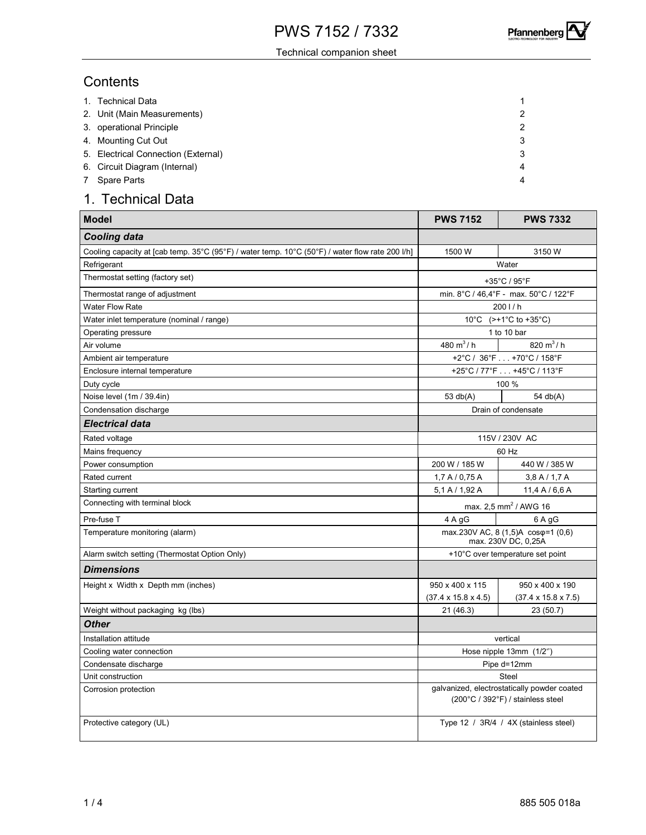**Pfannenberg** 

#### Technical companion sheet

### **Contents**

| 1. Technical Data                   |                |
|-------------------------------------|----------------|
| 2. Unit (Main Measurements)         | 2              |
| 3. operational Principle            | 2              |
| 4. Mounting Cut Out                 | 3              |
| 5. Electrical Connection (External) | 3              |
| 6. Circuit Diagram (Internal)       | $\overline{4}$ |
| 7 Spare Parts                       | $\overline{4}$ |

# 1. Technical Data

| <b>Model</b>                                                                                    | <b>PWS 7152</b>                                                                                  | <b>PWS 7332</b>                       |  |  |  |  |
|-------------------------------------------------------------------------------------------------|--------------------------------------------------------------------------------------------------|---------------------------------------|--|--|--|--|
| Cooling data                                                                                    |                                                                                                  |                                       |  |  |  |  |
| Cooling capacity at [cab temp. 35°C (95°F) / water temp. 10°C (50°F) / water flow rate 200 l/h] | 1500 W                                                                                           | 3150 W                                |  |  |  |  |
| Refrigerant                                                                                     |                                                                                                  | Water                                 |  |  |  |  |
| Thermostat setting (factory set)                                                                | +35°C / 95°F                                                                                     |                                       |  |  |  |  |
| Thermostat range of adjustment                                                                  | min. 8°C / 46,4°F - max. 50°C / 122°F                                                            |                                       |  |  |  |  |
| <b>Water Flow Rate</b>                                                                          | 2001/h                                                                                           |                                       |  |  |  |  |
| Water inlet temperature (nominal / range)                                                       | 10°C $(>+1)$ °C to +35°C)                                                                        |                                       |  |  |  |  |
| Operating pressure                                                                              | 1 to 10 bar                                                                                      |                                       |  |  |  |  |
| Air volume                                                                                      | 480 $m^3$ / h                                                                                    | 820 $m^3/h$                           |  |  |  |  |
| Ambient air temperature                                                                         |                                                                                                  | +2°C / 36°F +70°C / 158°F             |  |  |  |  |
| Enclosure internal temperature                                                                  | +25°C / 77°F +45°C / 113°F                                                                       |                                       |  |  |  |  |
| Duty cycle                                                                                      | 100 %                                                                                            |                                       |  |  |  |  |
| Noise level (1m / 39.4in)                                                                       | 53 $db(A)$                                                                                       | 54 db(A)                              |  |  |  |  |
| Condensation discharge                                                                          | Drain of condensate                                                                              |                                       |  |  |  |  |
| Electrical data                                                                                 |                                                                                                  |                                       |  |  |  |  |
| Rated voltage                                                                                   | 115V / 230V AC                                                                                   |                                       |  |  |  |  |
| Mains frequency                                                                                 | 60 Hz                                                                                            |                                       |  |  |  |  |
| Power consumption                                                                               | 200 W / 185 W                                                                                    | 440 W / 385 W                         |  |  |  |  |
| Rated current                                                                                   | 1,7 A / 0,75 A                                                                                   | $3,8$ A $/$ 1,7 A                     |  |  |  |  |
| Starting current                                                                                | 5.1 A / 1.92 A                                                                                   | 11,4 A/6,6 A                          |  |  |  |  |
| Connecting with terminal block                                                                  | max. 2,5 mm <sup>2</sup> / AWG 16                                                                |                                       |  |  |  |  |
| Pre-fuse T                                                                                      | 4 A gG                                                                                           | 6 A gG                                |  |  |  |  |
| Temperature monitoring (alarm)                                                                  | max.230V AC, 8 (1,5)A cos $\varphi$ =1 (0,6)<br>max. 230V DC, 0,25A                              |                                       |  |  |  |  |
| Alarm switch setting (Thermostat Option Only)                                                   | +10°C over temperature set point                                                                 |                                       |  |  |  |  |
| <b>Dimensions</b>                                                                               |                                                                                                  |                                       |  |  |  |  |
| Height x Width x Depth mm (inches)                                                              | 950 x 400 x 115                                                                                  | 950 x 400 x 190                       |  |  |  |  |
|                                                                                                 | $(37.4 \times 15.8 \times 4.5)$                                                                  | $(37.4 \times 15.8 \times 7.5)$       |  |  |  |  |
| Weight without packaging kg (lbs)                                                               | 21 (46.3)                                                                                        | 23(50.7)                              |  |  |  |  |
| <b>Other</b>                                                                                    |                                                                                                  |                                       |  |  |  |  |
| Installation attitude                                                                           | vertical                                                                                         |                                       |  |  |  |  |
| Cooling water connection                                                                        | Hose nipple 13mm (1/2")                                                                          |                                       |  |  |  |  |
| Condensate discharge                                                                            | Pipe d=12mm                                                                                      |                                       |  |  |  |  |
| Unit construction                                                                               | Steel                                                                                            |                                       |  |  |  |  |
| Corrosion protection                                                                            | galvanized, electrostatically powder coated<br>$(200^{\circ}C / 392^{\circ}F) /$ stainless steel |                                       |  |  |  |  |
| Protective category (UL)                                                                        |                                                                                                  | Type 12 / 3R/4 / 4X (stainless steel) |  |  |  |  |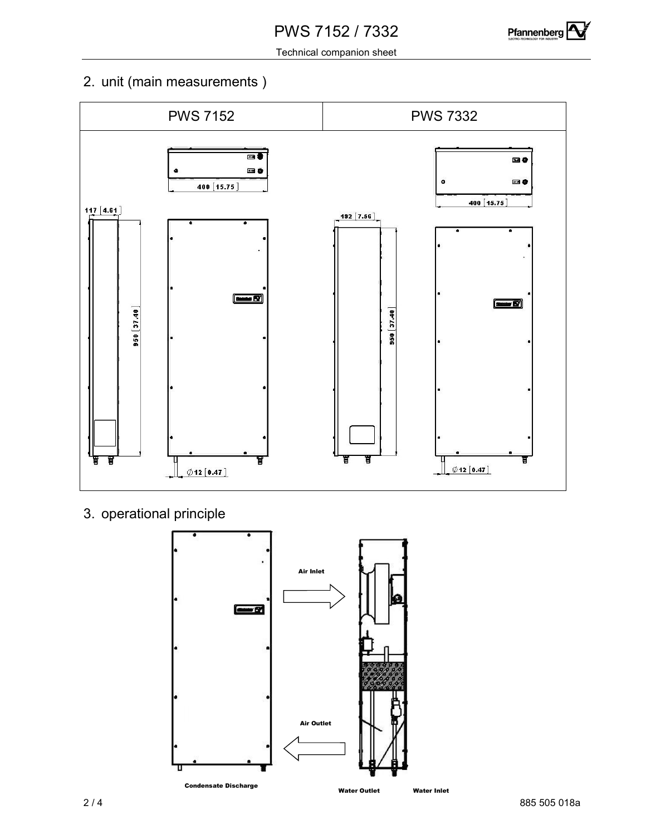

Technical companion sheet

# 2. unit (main measurements )



3. operational principle

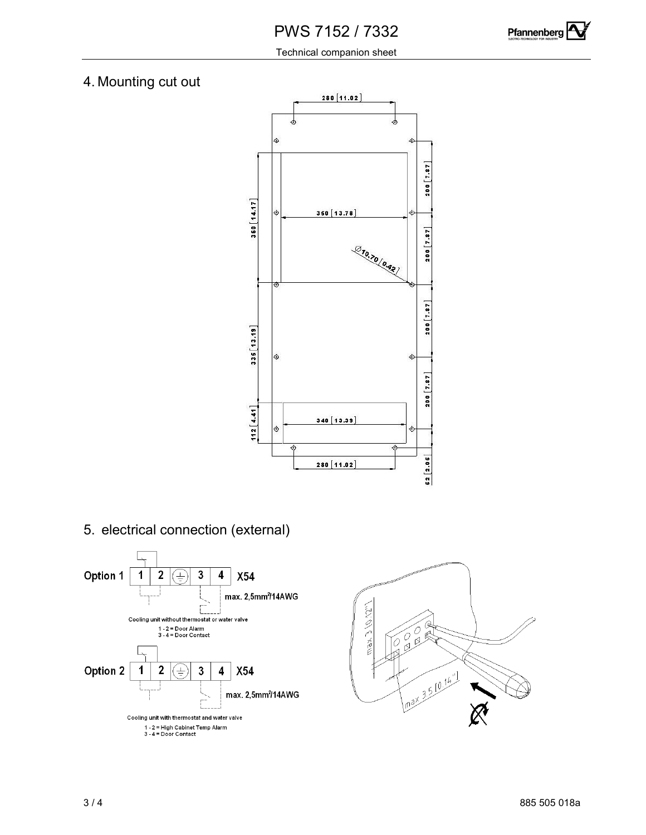

Technical companion sheet

## 4. Mounting cut out



5. electrical connection (external)